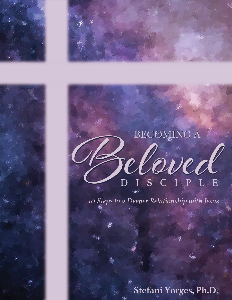



IO Steps to a Deeper Relationship with Jesus

Stefani Yorges, Ph.D.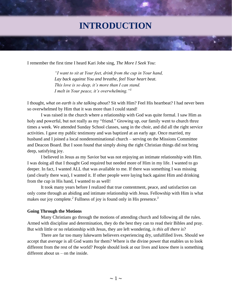# **INTRODUCTION**

I remember the first time I heard Kari Jobe sing, *The More I Seek You*:

*"I want to sit at Your feet, drink from the cup in Your hand, Lay back against You and breathe, feel Your heart beat. This love is so deep, it's more than I can stand. I melt in Your peace, it's overwhelming."<sup>1</sup>*

I thought, *what on earth is she talking about*? Sit with Him? Feel His heartbeat? I had never been so overwhelmed by Him that it was more than I could stand!

I was raised in the church where a relationship with God was quite formal. I saw Him as holy and powerful, but not really as my "friend." Growing up, our family went to church three times a week. We attended Sunday School classes, sang in the choir, and did all the right service activities. I gave my public testimony and was baptized at an early age. Once married, my husband and I joined a local nondenominational church – serving on the Missions Committee and Deacon Board. But I soon found that simply *doing* the right Christian things did not bring deep, satisfying joy.

I believed in Jesus as my Savior but was not enjoying an intimate relationship with Him. I was doing all that I thought God required but needed more of Him in my life. I wanted to go deeper. In fact, I wanted ALL that was available to me. If there was something I was missing (and clearly there was), I wanted it. If other people were laying back against Him and drinking from the cup in His hand, I wanted to as well!

It took many years before I realized that true contentment, peace, and satisfaction can only come through an abiding and intimate relationship with Jesus. Fellowship with Him is what makes our joy complete.*<sup>2</sup>* Fullness of joy is found only in His presence.*<sup>3</sup>*

#### **Going Through the Motions**

Many Christians go through the motions of attending church and following all the rules. Armed with discipline and determination, they do the best they can to read their Bibles and pray. But with little or no relationship with Jesus, they are left wondering*, is this all there is*?

There are far too many lukewarm believers experiencing dry, unfulfilled lives. Should we accept that *average* is all God wants for them? Where is the divine power that enables us to look different from the rest of the world? People should look at our lives and know there is something different about us – on the inside.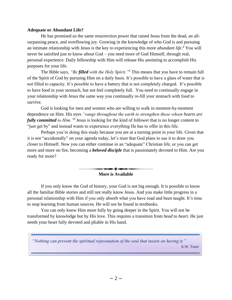## **Adequate or Abundant Life?**

He has promised us the same resurrection power that raised Jesus from the dead, an allsurpassing peace, and overflowing joy. Growing in the knowledge of who God is and pursuing an intimate relationship with Jesus is the key to experiencing this more *abundant life.<sup>4</sup>* You will never be satisfied just to know *about* God – you need more of God Himself, through real, personal experience. Daily fellowship with Him will release His anointing to accomplish His purposes for your life.

The Bible says, *"Be filled with the Holy Spirit."<sup>5</sup>* This means that you have to remain full of the Spirit of God by pursuing Him on a daily basis. It's possible to have a glass of water that is not filled to capacity. It's possible to have a battery that is not completely charged. It's possible to have food in your stomach, but not feel completely full. You need to continually engage in your relationship with Jesus the same way you continually re-fill your stomach with food to survive.

God is looking for men and women who are willing to walk in moment-by-moment dependence on Him. His eyes *"range throughout the earth to strengthen those whose hearts are*  fully committed to Him.<sup>"6</sup> Jesus is looking for the kind of follower that is no longer content to "just get by" and instead wants to experience everything He has to offer in this life.

Perhaps you're doing this study because you are at a turning point in your life. Given that it is not "accidentally" on your agenda today, let's trust that God plans to use it to draw you closer to Himself. Now you can either continue in an "adequate" Christian life, or you can get more and more on fire, becoming a *beloved disciple* that is passionately devoted to Him. Are you ready for more?

# **More is Available**

If you only know the God of history, your God is not big enough. It is possible to know all the familiar Bible stories and still not really know Jesus. And you make little progress in a personal relationship with Him if you only absorb what you have read and been taught. It's time to stop learning from human sources. He will not be found in textbooks.

You can only know Him more fully by going deeper in the Spirit. You will not be transformed by knowledge but by His love. This requires a transition from *head* to *heart*. He just needs your heart fully devoted and pliable in His hand.

*"Nothing can prevent the spiritual rejuvenation of the soul that insists on having it."* A.W. Tozer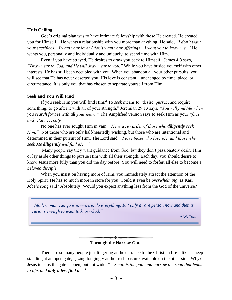### **He is Calling**

God's original plan was to have intimate fellowship with those He created. He created you for Himself – He wants a relationship with you more than anything! He said, *"I don't want your sacrifices – I want your love; I don't want your offerings – I want you to know me."<sup>7</sup>* He wants you, personally and individually and uniquely, to spend time with Him.

Even if you have strayed, He desires to draw you back to Himself. James 4:8 says, *"Draw near to God, and He will draw near to you."* While you have busied yourself with other interests, He has still been occupied with you. When you abandon all your other pursuits, you will see that He has never deserted you. His love is constant – unchanged by time, place, or circumstance. It is only you that has chosen to separate yourself from Him.

#### **Seek and You Will Find**

If you seek Him you will find Him.*<sup>8</sup>* To *seek* means to "desire, pursue, and require something; to go after it with all of your strength." Jeremiah 29:13 says, *"You will find Me when you search for Me with all your heart."* The Amplified version says to seek Him as your *"first and vital necessity."*

No one has ever sought Him in vain. *"He is a rewarder of those who diligently seek Him.*"<sup>9</sup> Not those who are only half-heartedly wishing, but those who are intentional and determined in their pursuit of Him. The Lord said, *"I love those who love Me, and those who seek Me diligently will find Me."<sup>10</sup>*

Many people say they want guidance from God, but they don't passionately desire Him or lay aside other things to pursue Him with all their strength. Each day, you should desire to know Jesus more fully than you did the day before. You will need to forfeit all else to become a *beloved disciple.*

When you insist on having more of Him, you immediately attract the attention of the Holy Spirit. He has so much more in store for you. Could it even be *overwhelming*, as Kari Jobe's song said? Absolutely! Would you expect anything less from the God of the universe?

*"Modern man can go everywhere, do everything. But only a rare person now and then is curious enough to want to know God."*

A.W. Tozer



There are so many people just lingering at the entrance to the Christian life – like a sheep standing at an open gate, gazing longingly at the fresh pasture available on the other side. Why? Jesus tells us the gate is open, but not wide. *"…Small is the gate and narrow the road that leads to life, and only a few find it."<sup>11</sup>*

 $\sim$  3  $\sim$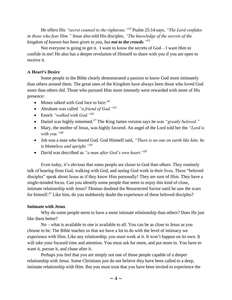He offers His *"secret counsel to the righteous."<sup>12</sup>* Psalm 25:14 says, *"The Lord confides in those who fear Him."* Jesus also told His disciples, *"The knowledge of the secrets of the kingdom of heaven has been given to you, but not to the crowds."<sup>13</sup>*

Not everyone is going to get it. I want to know the secrets of God – I want Him to confide in me! He also has a deeper revelation of Himself to share with you if you are open to receive it.

#### **A Heart's Desire**

Some people in the Bible clearly demonstrated a passion to know God more intimately than others around them. The great ones of the Kingdom have always been those who loved God more than others did. Those who pursued Him more intensely were rewarded with more of His presence:

- Moses talked with God face to face.<sup>14</sup>
- Abraham was called *"a friend of God."<sup>15</sup>*
- Enoch *"walked with God."<sup>16</sup>*
- Daniel was highly esteemed.*<sup>17</sup>* The King James version says he was *"greatly beloved."*
- Mary, the mother of Jesus, was highly favored. An angel of the Lord told her the *"Lord is with you."<sup>18</sup>*
- Job was a man who feared God. God Himself said, *"There is no one on earth like him; he is blameless and upright."<sup>19</sup>*
- David was described as *"a man after God's own heart."<sup>20</sup>*

Even today, it's obvious that some people are closer to God than others. They routinely talk of hearing from God, walking with God, and seeing God work in their lives. These "beloved disciples" speak about Jesus as if they know Him personally! They are sure of Him. They have a single-minded focus. Can you identify some people that seem to enjoy this kind of close, intimate relationship with Jesus? Thomas doubted the Resurrected Savior until he saw the scars for himself.*<sup>21</sup>* Like him, do you stubbornly doubt the experience of these beloved disciples?

#### **Intimate with Jesus**

Why do some people seem to have a more intimate relationship than others? Does He just like them better?

No – what is available to one is available to all. You can be as close to Jesus as you choose to be. The Bible teaches us that we have a lot to do with the level of intimacy we experience with Him. Like any relationship, you must work at it. It won't happen on its own. It will take your focused time and attention. You must ask for more, and put more in. You have to want it, pursue it, and chase after it.

Perhaps you feel that you are simply not one of those people capable of a deeper relationship with Jesus. Some Christians just do not believe *they* have been called to a deep, intimate relationship with Him. But you must trust that you have been invited to experience the

 $\sim$  4  $\sim$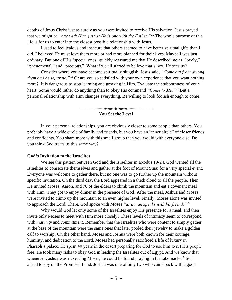depths of Jesus Christ just as surely as you were invited to receive His salvation. Jesus prayed that we might be *"one with Him, just as He is one with the Father."<sup>22</sup>* The whole purpose of this life is for us to enter into the closest possible relationship with Jesus.

I used to feel jealous and insecure that others seemed to have better spiritual gifts than I did. I believed He must love them more or had more planned for their lives. Maybe I was just ordinary. But one of His 'special ones' quickly reassured me that He described me as "lovely," "phenomenal," and "precious." What if we all started to believe that's how He sees us?

Consider where you have become spiritually sluggish. Jesus said, *"Come out from among them and be separate."<sup>23</sup>* Or are you so satisfied with your own experience that you want nothing more? It is dangerous to stop learning and growing in Him. Evaluate the stubbornness of your heart. Some would rather do anything than to obey His command *"Come to Me."<sup>24</sup>* But a personal relationship with Him changes everything. Be willing to look foolish enough to come.

> $-\Delta$ **You Set the Level**

In your personal relationships, you are obviously closer to some people than others. You probably have a wide circle of family and friends, but you have an "inner circle" of closer friends and confidants. You share more with this small group than you would with everyone else. Do you think God treats us this same way?

#### **God's Invitation to the Israelites**

We see this pattern between God and the Israelites in Exodus 19-24. God wanted all the Israelites to consecrate themselves and gather at the foot of Mount Sinai for a very special event. Everyone was welcome to gather there, but no one was to go further up the mountain without specific invitation. On the third day, the Lord appeared in a thick cloud to all the people. Then He invited Moses, Aaron, and 70 of the elders to climb the mountain and eat a covenant meal with Him. They got to enjoy dinner in the presence of God! After the meal, Joshua and Moses were invited to climb up the mountain to an even higher level. Finally, Moses alone was invited to approach the Lord. There, God spoke with Moses *"as a man speaks with his friend."<sup>25</sup>*

Why would God let only some of the Israelites enjoy His presence for a meal, and then invite only Moses to meet with Him more closely? These levels of intimacy seem to correspond with *maturity* and *commitment*. Remember that the Israelites who were content to simply gather at the base of the mountain were the same ones that later pooled their jewelry to make a golden calf to worship! On the other hand, Moses and Joshua were both known for their courage, humility, and dedication to the Lord. Moses had personally sacrificed a life of luxury in Pharaoh's palace. He spent 40 years in the desert preparing for God to use him to set His people free. He took many risks to obey God in leading the Israelites out of Egypt. And we know that whenever Joshua wasn't serving Moses, he could be found praying in the tabernacle.*<sup>26</sup>* Sent ahead to spy on the Promised Land, Joshua was one of only two who came back with a good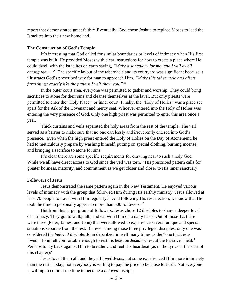report that demonstrated great faith.*<sup>27</sup>* Eventually, God chose Joshua to replace Moses to lead the Israelites into their new homeland.

#### **The Construction of God's Temple**

It's interesting that God called for similar boundaries or levels of intimacy when His first temple was built. He provided Moses with clear instructions for how to create a place where He could dwell with the Israelites on earth saying, *"Make a sanctuary for me, and I will dwell among them."<sup>28</sup>* The specific layout of the tabernacle and its courtyard was significant because it illustrates God's prescribed way for man to approach Him. *"Make this tabernacle and all its furnishings exactly like the pattern I will show you."<sup>29</sup>*

In the outer court area, everyone was permitted to gather and worship. They could bring sacrifices to atone for their sins and cleanse themselves at the laver. But only priests were permitted to enter the "Holy Place," or inner court. Finally, the "Holy of Holies" was a place set apart for the Ark of the Covenant and mercy seat. Whoever entered into the Holy of Holies was entering the very presence of God. Only one high priest was permitted to enter this area once a year.

Thick curtains and veils separated the holy areas from the rest of the temple. The veil served as a barrier to make sure that no one carelessly and irreverently entered into God's presence. Even when the high priest entered the Holy of Holies on the Day of Atonement, he had to meticulously prepare by washing himself, putting on special clothing, burning incense, and bringing a sacrifice to atone for sins.

It's clear there are some specific requirements for drawing near to such a holy God. While we all have direct access to God since the veil was torn,*<sup>30</sup>* His prescribed pattern calls for greater holiness, maturity, and commitment as we get closer and closer to His inner sanctuary.

#### **Followers of Jesus**

Jesus demonstrated the same pattern again in the New Testament. He enjoyed various levels of intimacy with the group that followed Him during His earthly ministry. Jesus allowed at least 70 people to travel with Him regularly. *<sup>31</sup>* And following His resurrection, we know that He took the time to personally appear to more than 500 followers.*<sup>32</sup>*

But from this larger group of followers, Jesus chose 12 disciples to share a deeper level of intimacy. They got to walk, talk, and eat with Him on a daily basis. Out of those 12, there were three (Peter, James, and John) that were allowed to experience several unique and special situations separate from the rest. But even among those three privileged disciples, only one was considered the *beloved* disciple. John described himself many times as the "one that Jesus loved." John felt comfortable enough to rest his head on Jesus's chest at the Passover meal.*<sup>33</sup>* Perhaps to lay back against Him to breathe…and feel His heartbeat (as in the lyrics at the start of this chapter)?

Jesus loved them all, and they all loved Jesus, but some experienced Him more intimately than the rest. Today, not everybody is willing to pay the price to be close to Jesus. Not everyone is willing to commit the time to become a *beloved* disciple.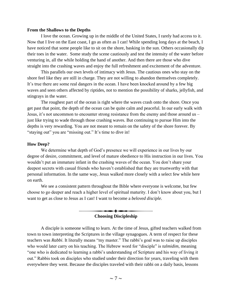#### **From the Shallows to the Depths**

I love the ocean. Growing up in the middle of the United States, I rarely had access to it. Now that I live on the East coast, I go as often as I can! While spending long days at the beach, I have noticed that some people like to sit on the shore, basking in the sun. Others occasionally dip their toes in the water. Some study the scene cautiously and test the intensity of the water before venturing in, all the while holding the hand of another. And then there are those who dive straight into the crashing waves and enjoy the full refreshment and excitement of the adventure.

This parallels our own levels of intimacy with Jesus. The cautious ones who stay on the shore feel like they are still in charge. They are not willing to abandon themselves completely. It's true there are some real dangers in the ocean. I have been knocked around by a few big waves and seen others affected by riptides, not to mention the possibility of sharks, jellyfish, and stingrays in the water.

The roughest part of the ocean is right where the waves crash onto the shore. Once you get past that point, the depth of the ocean can be quite calm and peaceful. In our early walk with Jesus, it's not uncommon to encounter strong resistance from the enemy and those around us – just like trying to wade through those crashing waves. But continuing to pursue Him into the depths is very rewarding. You are not meant to remain on the safety of the shore forever. By "staying out" you are "missing out." It's time to dive in!

#### **How Deep?**

We determine what depth of God's presence we will experience in our lives by our degree of desire, commitment, and level of mature obedience to His instruction in our lives. You wouldn't put an immature infant in the crashing waves of the ocean. You don't share your deepest secrets with casual friends who haven't established that they are trustworthy with that personal information. In the same way, Jesus walked more closely with a select few while here on earth.

We see a consistent pattern throughout the Bible where everyone is welcome, but few choose to go deeper and reach a higher level of spiritual maturity. I don't know about you, but I want to get as close to Jesus as I can! I want to become a *beloved disciple.*

#### $\rightarrow$  6  $\rightarrow$ **Choosing Discipleship**

A disciple is someone willing to learn. At the time of Jesus, gifted teachers walked from town to town interpreting the Scriptures in the village synagogues. A term of respect for these teachers was *Rabbi*. It literally means "my master." The rabbi's goal was to raise up disciples who would later carry on his teaching. The Hebrew word for "disciple" is *talmidim*, meaning "one who is dedicated to learning a rabbi's understanding of Scripture and his way of living it out." Rabbis took on disciples who studied under their direction for years, traveling with them everywhere they went. Because the disciples traveled with their rabbi on a daily basis, lessons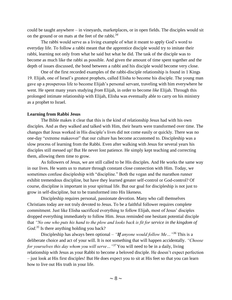could be taught anywhere – in vineyards, marketplaces, or in open fields. The disciples would sit on the ground or on mats at the feet of the rabbi.*<sup>34</sup>*

The rabbi would serve as a living example of what it meant to apply God's word to everyday life. To follow a rabbi meant that the apprentice disciple would try to imitate their rabbi, learning not only from what he said but what he did. The task of the disciple was to become as much like the rabbi as possible. And given the amount of time spent together and the depth of issues discussed, the bond between a rabbi and his disciple would become very close.

One of the first recorded examples of the rabbi-disciple relationship is found in 1 Kings 19. Elijah, one of Israel's greatest prophets, called Elisha to become his disciple. The young man gave up a prosperous life to become Elijah's personal servant, traveling with him everywhere he went. He spent many years studying *from* Elijah, in order to become *like* Elijah. Through this prolonged intimate relationship with Elijah, Elisha was eventually able to carry on his ministry as a prophet to Israel.

#### **Learning from Rabbi Jesus**

The Bible makes it clear that this is the kind of relationship Jesus had with his own disciples. And as they walked and talked with Him, their hearts were transformed over time. The changes that Jesus worked in His disciple's lives did not come easily or quickly. There was no one-day "extreme makeover" that our culture has become accustomed to. Discipleship was a slow process of learning from the Rabbi. Even after walking with Jesus for several years his disciples still messed up! But He never lost patience. He simply kept teaching and correcting them, allowing them time to grow.

As followers of Jesus, we are still called to be His disciples. And He works the same way in our lives. He wants us to mature through constant close connection with Him. Today, we sometimes confuse discipleship with "discipline." Both the vegan and the marathon runner exhibit tremendous discipline, but have they learned greater self-control or God-control? Of course, discipline is important in your spiritual life. But our goal for discipleship is not just to grow in self-discipline, but to be transformed into His likeness.

Discipleship requires personal, passionate devotion. Many who call themselves Christians today are not truly devoted to Jesus. To be a faithful follower requires complete commitment. Just like Elisha sacrificed everything to follow Elijah, most of Jesus' disciples dropped everything immediately to follow Him. Jesus reminded one hesitant potential disciple that *"No one who puts his hand to the plow and looks back is fit for service in the kingdom of God.*<sup>35</sup> Is there anything holding you back?

Discipleship has always been optional *– "If anyone would follow Me…"<sup>36</sup>* This is a deliberate choice and act of your will. It is not something that will happen accidentally. *"Choose for yourselves this day whom you will serve…"<sup>37</sup>* You will need to be in a daily, living relationship with Jesus as your Rabbi to become a beloved disciple. He doesn't expect perfection – just look at His first disciples! But He does expect you to sit at His feet so that you can learn how to live out His truth in your life.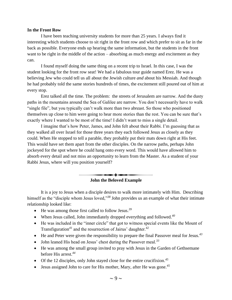#### **In the Front Row**

I have been teaching university students for more than 25 years. I always find it interesting which students choose to sit right in the front row and which prefer to sit as far in the back as possible. Everyone ends up hearing the same information, but the students in the front want to be right in the middle of the action – absorbing as much energy and excitement as they can.

I found myself doing the same thing on a recent trip to Israel. In this case, I was the student looking for the front row seat! We had a fabulous tour guide named Erez. He was a believing Jew who could tell us all about the Jewish culture *and* about his Messiah. And though he had probably told the same stories hundreds of times, the excitement still poured out of him at every stop.

Erez talked all the time. The problem: the streets of Jerusalem are narrow. And the dusty paths in the mountains around the Sea of Galilee are narrow. You don't necessarily have to walk "single file", but you typically can't walk more than two abreast. So those who positioned themselves up close to him were going to hear more stories than the rest. You can be sure that's exactly where I wanted to be most of the time! I didn't want to miss a single detail.

I imagine that's how Peter, James, and John felt about their Rabbi. I'm guessing that as they walked all over Israel for those three years they each followed Jesus as closely as they could. When He stopped to tell a parable, they probably put their mats down right at His feet. This would have set them apart from the other disciples. On the narrow paths, perhaps John jockeyed for the spot where he could hang onto every word. This would have allowed him to absorb every detail and not miss an opportunity to learn from the Master. As a student of your Rabbi Jesus, where will you position yourself?

## **John the Beloved Example**

It is a joy to Jesus when a disciple desires to walk more intimately with Him. Describing himself as the "disciple whom Jesus loved,"<sup>38</sup> John provides us an example of what their intimate relationship looked like:

- He was among those first called to follow Jesus.*<sup>39</sup>*
- When Jesus called, John immediately dropped everything and followed.<sup>40</sup>
- He was included in the "inner circle" that got to witness special events like the Mount of Transfiguration*<sup>41</sup>* and the resurrection of Jairus' daughter.*<sup>42</sup>*
- He and Peter were given the responsibility to prepare the final Passover meal for Jesus.*<sup>43</sup>*
- John leaned His head on Jesus' chest during the Passover meal.*<sup>33</sup>*
- He was among the small group invited to pray with Jesus in the Garden of Gethsemane before His arrest.*<sup>44</sup>*
- Of the 12 disciples, only John stayed close for the entire crucifixion.<sup>45</sup>
- Jesus assigned John to care for His mother, Mary, after He was gone.<sup>45</sup>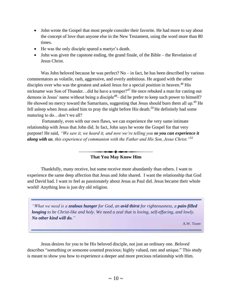- John wrote the Gospel that most people consider their favorite. He had more to say about the concept of love than anyone else in the New Testament, using the word more than 80 times.
- He was the only disciple spared a martyr's death.
- John was given the capstone ending, the grand finale, of the Bible the Revelation of Jesus Christ.

Was John beloved because he was perfect? No – in fact, he has been described by various commentators as volatile, rash, aggressive, and overly ambitious. He argued with the other disciples over who was the greatest and asked Jesus for a special position in heaven.*<sup>46</sup>* His nickname was Son of Thunder…did he have a temper?*<sup>47</sup>* He once rebuked a man for casting out demons in Jesus' name without being a disciple*<sup>48</sup>* – did he prefer to keep such power to himself? He showed no mercy toward the Samaritans, suggesting that Jesus should burn them all up.*<sup>49</sup>* He fell asleep when Jesus asked him to pray the night before His death.*<sup>50</sup>* He definitely had some maturing to do…don't we all?

Fortunately, even with our own flaws, we can experience the very same intimate relationship with Jesus that John did. In fact, John says he wrote the Gospel for that very purpose! He said, *"We saw it, we heard it, and now we're telling you so you can experience it along with us, this experience of communion with the Father and His Son, Jesus Christ."<sup>51</sup>*



Thankfully, many receive, but some receive more abundantly than others. I want to experience the same deep affection that Jesus and John shared. I want the relationship that God and David had. I want to feel as passionately about Jesus as Paul did. Jesus became their whole world! Anything less is just dry old religion.

*"What we need is a zealous hunger for God, an avid thirst for righteousness, a pain-filled longing to be Christ-like and holy. We need a zeal that is loving, self-effacing, and lowly. No other kind will do."* 

A.W. Tozer

Jesus desires for you to be His beloved disciple, not just an ordinary one. *Beloved* describes "something or someone counted precious; highly valued, rare and unique." This study is meant to show you how to experience a deeper and more precious relationship with Him.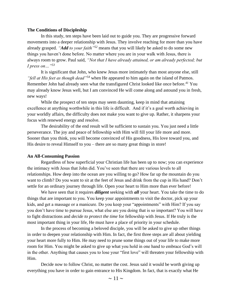#### **The Conditions of Discipleship**

In this study, ten steps have been laid out to guide you. They are progressive forward movements into a deeper relationship with Jesus. They involve reaching for more than you have already grasped. *"Add to your faith"<sup>52</sup>* means that you will likely be asked to do some new things you haven't done before. No matter where you are in your walk with Jesus, there is always room to grow. Paul said, *"Not that I have already attained, or am already perfected; but I press on…"<sup>53</sup>*

It is significant that John, who knew Jesus more intimately than most anyone else, still *"fell at His feet as though dead"<sup>54</sup>* when He appeared to him again on the island of Patmos. Remember John had already seen what the transfigured Christ looked like once before.*<sup>41</sup>* You may already know Jesus well, but I am convinced He will come along and astound you in fresh, new ways!

While the prospect of ten steps may seem daunting, keep in mind that attaining excellence at anything worthwhile in this life is difficult. And if it's a goal worth achieving in your worldly affairs, the difficulty does not make you want to give up. Rather, it sharpens your focus with renewed energy and resolve.

The desirability of the end result will be sufficient to sustain you. You just need a little perseverance. The joy and peace of fellowship with Him will fill your life more and more. Sooner than you think, you will become convinced of His goodness, His love toward you, and His desire to reveal Himself to you – there are so many great things in store!

#### **An All-Consuming Passion**

Regardless of how superficial your Christian life has been up to now; you can experience the intimacy with Jesus that John did. You've seen that there are various levels to all relationships. How deep into the ocean are you willing to go? How far up the mountain do you want to climb? Do you want to sit at the feet of Jesus and drink from the cup in His hand? Don't settle for an ordinary journey through life. Open your heart to Him more than ever before!

We have seen that it requires *diligent* seeking with *all* your heart. You take the time to do things that are important to you. You keep your appointments to visit the doctor, pick up your kids, and get a massage or a manicure. Do you keep your "appointments" with Him? If you say you don't have time to pursue Jesus, what else are you doing that is so important? You will have to fight distractions and *decide to protect the time* for fellowship with Jesus. If He truly is the most important thing in your life, He must have a place of priority in your schedule.

In the process of becoming a beloved disciple, you will be asked to give up other things in order to deepen your relationship with Him. In fact, the first three steps are all about yielding your heart more fully to Him. He may need to prune some things out of your life to make more room for Him. You might be asked to give up what you hold in one hand to embrace God's will in the other. Anything that causes you to lose your "first love" will threaten your fellowship with Him.

Decide now to follow Christ, no matter the cost. Jesus said it would be worth giving up everything you have in order to gain entrance to His Kingdom. In fact, that is exactly what He